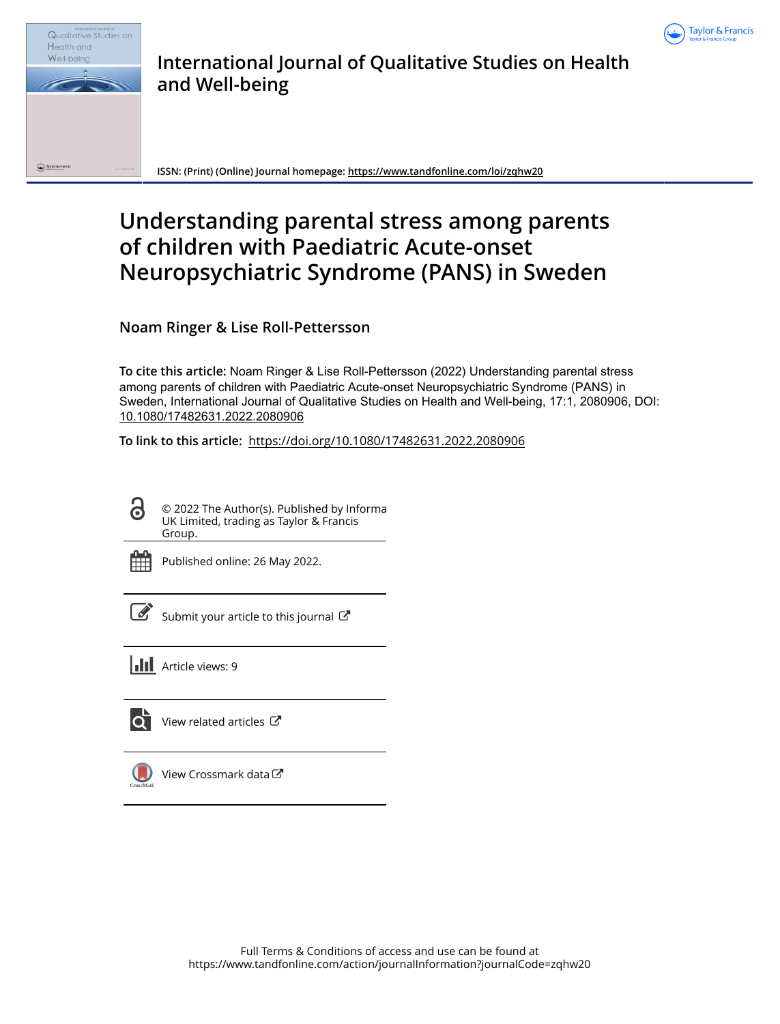



**International Journal of Qualitative Studies on Health and Well-being**

**ISSN: (Print) (Online) Journal homepage:<https://www.tandfonline.com/loi/zqhw20>**

# **Understanding parental stress among parents of children with Paediatric Acute-onset Neuropsychiatric Syndrome (PANS) in Sweden**

**Noam Ringer & Lise Roll-Pettersson**

**To cite this article:** Noam Ringer & Lise Roll-Pettersson (2022) Understanding parental stress among parents of children with Paediatric Acute-onset Neuropsychiatric Syndrome (PANS) in Sweden, International Journal of Qualitative Studies on Health and Well-being, 17:1, 2080906, DOI: [10.1080/17482631.2022.2080906](https://www.tandfonline.com/action/showCitFormats?doi=10.1080/17482631.2022.2080906)

**To link to this article:** <https://doi.org/10.1080/17482631.2022.2080906>

G

© 2022 The Author(s). Published by Informa UK Limited, trading as Taylor & Francis Group.



Published online: 26 May 2022.

[Submit your article to this journal](https://www.tandfonline.com/action/authorSubmission?journalCode=zqhw20&show=instructions)  $\mathbb{Z}$ 

**Article views: 9** 



[View related articles](https://www.tandfonline.com/doi/mlt/10.1080/17482631.2022.2080906) C



[View Crossmark data](http://crossmark.crossref.org/dialog/?doi=10.1080/17482631.2022.2080906&domain=pdf&date_stamp=2022-05-26)  $\mathbb{Z}$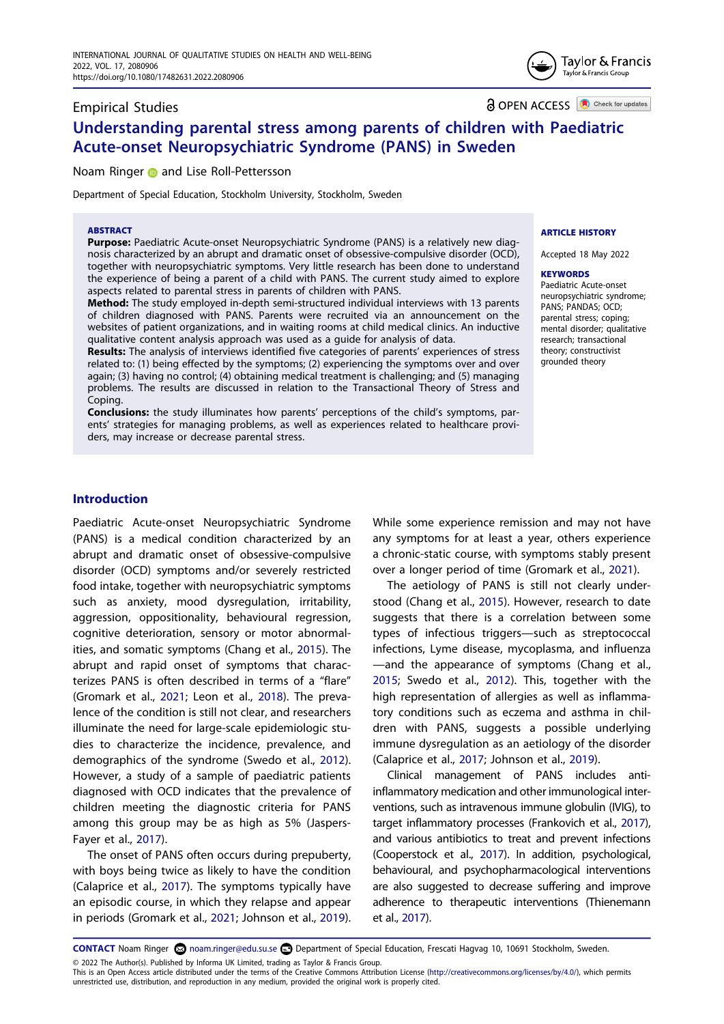

**a** OPEN ACCESS **D** Check for updates

## **Understanding parental stress among parents of children with Paediatric Acute-onset Neuropsychiatric Syndrome (PANS) in Sweden**

## Noam Ringe[r](http://orcid.org/0000-0003-3825-042X) **and Lise Roll-Pettersson**

Department of Special Education, Stockholm University, Stockholm, Sweden

#### **ABSTRACT**

Empirical Studies

**Purpose:** Paediatric Acute-onset Neuropsychiatric Syndrome (PANS) is a relatively new diagnosis characterized by an abrupt and dramatic onset of obsessive-compulsive disorder (OCD), together with neuropsychiatric symptoms. Very little research has been done to understand the experience of being a parent of a child with PANS. The current study aimed to explore aspects related to parental stress in parents of children with PANS.

**Method:** The study employed in-depth semi-structured individual interviews with 13 parents of children diagnosed with PANS. Parents were recruited via an announcement on the websites of patient organizations, and in waiting rooms at child medical clinics. An inductive qualitative content analysis approach was used as a guide for analysis of data.

**Results:** The analysis of interviews identified five categories of parents' experiences of stress related to: (1) being effected by the symptoms; (2) experiencing the symptoms over and over again; (3) having no control; (4) obtaining medical treatment is challenging; and (5) managing problems. The results are discussed in relation to the Transactional Theory of Stress and Coping.

**Conclusions:** the study illuminates how parents' perceptions of the child's symptoms, parents' strategies for managing problems, as well as experiences related to healthcare providers, may increase or decrease parental stress.

#### **ARTICLE HISTORY**

Accepted 18 May 2022

#### **KEYWORDS**

Paediatric Acute-onset neuropsychiatric syndrome; PANS; PANDAS; OCD; parental stress; coping; mental disorder; qualitative research; transactional theory; constructivist grounded theory

## **Introduction**

Paediatric Acute-onset Neuropsychiatric Syndrome (PANS) is a medical condition characterized by an abrupt and dramatic onset of obsessive-compulsive disorder (OCD) symptoms and/or severely restricted food intake, together with neuropsychiatric symptoms such as anxiety, mood dysregulation, irritability, aggression, oppositionality, behavioural regression, cognitive deterioration, sensory or motor abnormalities, and somatic symptoms (Chang et al., [2015\)](#page-11-0). The abrupt and rapid onset of symptoms that characterizes PANS is often described in terms of a "flare" (Gromark et al., [2021](#page-11-1); Leon et al., [2018\)](#page-12-0). The prevalence of the condition is still not clear, and researchers illuminate the need for large-scale epidemiologic studies to characterize the incidence, prevalence, and demographics of the syndrome (Swedo et al., [2012\)](#page-12-1). However, a study of a sample of paediatric patients diagnosed with OCD indicates that the prevalence of children meeting the diagnostic criteria for PANS among this group may be as high as 5% (Jaspers-Fayer et al., [2017\)](#page-11-2).

<span id="page-1-6"></span><span id="page-1-5"></span>The onset of PANS often occurs during prepuberty, with boys being twice as likely to have the condition (Calaprice et al., [2017\)](#page-11-3). The symptoms typically have an episodic course, in which they relapse and appear in periods (Gromark et al., [2021;](#page-11-1) Johnson et al., [2019\)](#page-11-4).

While some experience remission and may not have any symptoms for at least a year, others experience a chronic-static course, with symptoms stably present over a longer period of time (Gromark et al., [2021](#page-11-1)).

<span id="page-1-7"></span><span id="page-1-4"></span><span id="page-1-1"></span>The aetiology of PANS is still not clearly understood (Chang et al., [2015](#page-11-0)). However, research to date suggests that there is a correlation between some types of infectious triggers—such as streptococcal infections, Lyme disease, mycoplasma, and influenza —and the appearance of symptoms (Chang et al., [2015](#page-11-0); Swedo et al., [2012](#page-12-1)). This, together with the high representation of allergies as well as inflammatory conditions such as eczema and asthma in children with PANS, suggests a possible underlying immune dysregulation as an aetiology of the disorder (Calaprice et al., [2017](#page-11-3); Johnson et al., [2019\)](#page-11-4).

<span id="page-1-8"></span><span id="page-1-3"></span><span id="page-1-2"></span><span id="page-1-0"></span>Clinical management of PANS includes antiinflammatory medication and other immunological interventions, such as intravenous immune globulin (IVIG), to target inflammatory processes (Frankovich et al., [2017\)](#page-11-5), and various antibiotics to treat and prevent infections (Cooperstock et al., [2017](#page-11-6)). In addition, psychological, behavioural, and psychopharmacological interventions are also suggested to decrease suffering and improve adherence to therapeutic interventions (Thienemann et al., [2017](#page-12-2)).

CONTACT Noam Ringer **&** noam.ringer@edu.su.se Department of Special Education, Frescati Hagvag 10, 10691 Stockholm, Sweden.

© 2022 The Author(s). Published by Informa UK Limited, trading as Taylor & Francis Group. This is an Open Access article distributed under the terms of the Creative Commons Attribution License (http://creativecommons.org/licenses/by/4.0/), which permits unrestricted use, distribution, and reproduction in any medium, provided the original work is properly cited.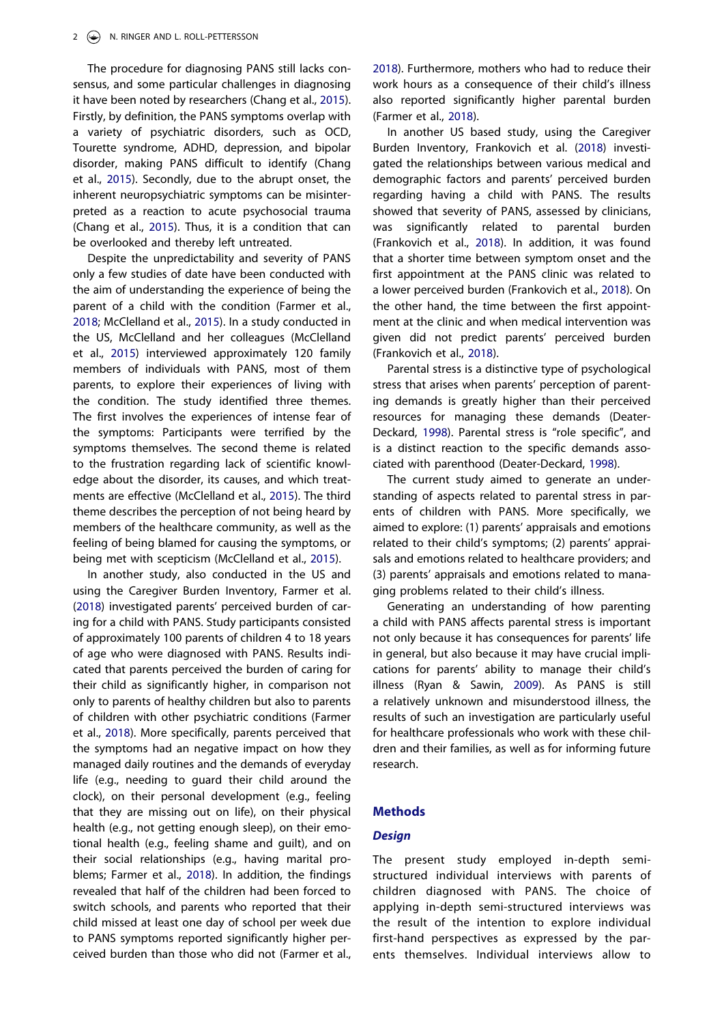The procedure for diagnosing PANS still lacks consensus, and some particular challenges in diagnosing it have been noted by researchers (Chang et al., [2015\)](#page-11-0). Firstly, by definition, the PANS symptoms overlap with a variety of psychiatric disorders, such as OCD, Tourette syndrome, ADHD, depression, and bipolar disorder, making PANS difficult to identify (Chang et al., [2015](#page-11-0)). Secondly, due to the abrupt onset, the inherent neuropsychiatric symptoms can be misinterpreted as a reaction to acute psychosocial trauma (Chang et al., [2015](#page-11-0)). Thus, it is a condition that can be overlooked and thereby left untreated.

Despite the unpredictability and severity of PANS only a few studies of date have been conducted with the aim of understanding the experience of being the parent of a child with the condition (Farmer et al., [2018;](#page-11-7) McClelland et al., [2015\)](#page-12-3). In a study conducted in the US, McClelland and her colleagues (McClelland et al., [2015\)](#page-12-3) interviewed approximately 120 family members of individuals with PANS, most of them parents, to explore their experiences of living with the condition. The study identified three themes. The first involves the experiences of intense fear of the symptoms: Participants were terrified by the symptoms themselves. The second theme is related to the frustration regarding lack of scientific knowledge about the disorder, its causes, and which treatments are effective (McClelland et al., [2015](#page-12-3)). The third theme describes the perception of not being heard by members of the healthcare community, as well as the feeling of being blamed for causing the symptoms, or being met with scepticism (McClelland et al., [2015\)](#page-12-3).

<span id="page-2-3"></span>In another study, also conducted in the US and using the Caregiver Burden Inventory, Farmer et al. ([2018](#page-11-7)) investigated parents' perceived burden of caring for a child with PANS. Study participants consisted of approximately 100 parents of children 4 to 18 years of age who were diagnosed with PANS. Results indicated that parents perceived the burden of caring for their child as significantly higher, in comparison not only to parents of healthy children but also to parents of children with other psychiatric conditions (Farmer et al., [2018](#page-11-7)). More specifically, parents perceived that the symptoms had an negative impact on how they managed daily routines and the demands of everyday life (e.g., needing to guard their child around the clock), on their personal development (e.g., feeling that they are missing out on life), on their physical health (e.g., not getting enough sleep), on their emotional health (e.g., feeling shame and guilt), and on their social relationships (e.g., having marital problems; Farmer et al., [2018\)](#page-11-7). In addition, the findings revealed that half of the children had been forced to switch schools, and parents who reported that their child missed at least one day of school per week due to PANS symptoms reported significantly higher perceived burden than those who did not (Farmer et al.,

[2018](#page-11-7)). Furthermore, mothers who had to reduce their work hours as a consequence of their child's illness also reported significantly higher parental burden (Farmer et al., [2018](#page-11-7)).

<span id="page-2-1"></span>In another US based study, using the Caregiver Burden Inventory, Frankovich et al. [\(2018](#page-11-8)) investigated the relationships between various medical and demographic factors and parents' perceived burden regarding having a child with PANS. The results showed that severity of PANS, assessed by clinicians, was significantly related to parental burden (Frankovich et al., [2018\)](#page-11-8). In addition, it was found that a shorter time between symptom onset and the first appointment at the PANS clinic was related to a lower perceived burden (Frankovich et al., [2018](#page-11-8)). On the other hand, the time between the first appointment at the clinic and when medical intervention was given did not predict parents' perceived burden (Frankovich et al., [2018](#page-11-8)).

<span id="page-2-2"></span>Parental stress is a distinctive type of psychological stress that arises when parents' perception of parenting demands is greatly higher than their perceived resources for managing these demands (Deater-Deckard, [1998](#page-11-9)). Parental stress is "role specific", and is a distinct reaction to the specific demands associated with parenthood (Deater-Deckard, [1998\)](#page-11-9).

<span id="page-2-0"></span>The current study aimed to generate an understanding of aspects related to parental stress in parents of children with PANS. More specifically, we aimed to explore: (1) parents' appraisals and emotions related to their child's symptoms; (2) parents' appraisals and emotions related to healthcare providers; and (3) parents' appraisals and emotions related to managing problems related to their child's illness.

<span id="page-2-4"></span>Generating an understanding of how parenting a child with PANS affects parental stress is important not only because it has consequences for parents' life in general, but also because it may have crucial implications for parents' ability to manage their child's illness (Ryan & Sawin, [2009\)](#page-12-4). As PANS is still a relatively unknown and misunderstood illness, the results of such an investigation are particularly useful for healthcare professionals who work with these children and their families, as well as for informing future research.

#### **Methods**

## *Design*

The present study employed in-depth semistructured individual interviews with parents of children diagnosed with PANS. The choice of applying in-depth semi-structured interviews was the result of the intention to explore individual first-hand perspectives as expressed by the parents themselves. Individual interviews allow to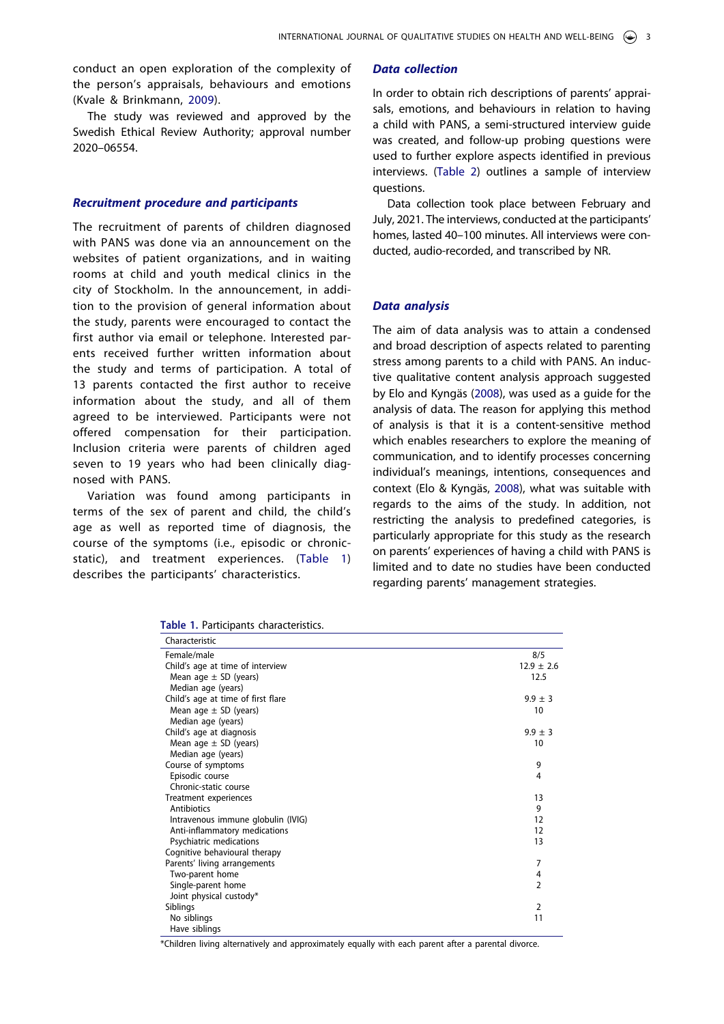conduct an open exploration of the complexity of the person's appraisals, behaviours and emotions (Kvale & Brinkmann, [2009](#page-11-10)).

<span id="page-3-2"></span>The study was reviewed and approved by the Swedish Ethical Review Authority; approval number 2020–06554.

#### *Recruitment procedure and participants*

The recruitment of parents of children diagnosed with PANS was done via an announcement on the websites of patient organizations, and in waiting rooms at child and youth medical clinics in the city of Stockholm. In the announcement, in addition to the provision of general information about the study, parents were encouraged to contact the first author via email or telephone. Interested parents received further written information about the study and terms of participation. A total of 13 parents contacted the first author to receive information about the study, and all of them agreed to be interviewed. Participants were not offered compensation for their participation. Inclusion criteria were parents of children aged seven to 19 years who had been clinically diagnosed with PANS.

Variation was found among participants in terms of the sex of parent and child, the child's age as well as reported time of diagnosis, the course of the symptoms (i.e., episodic or chronicstatic), and treatment experiences. ([Table 1\)](#page-3-0) describes the participants' characteristics.

#### <span id="page-3-0"></span>**Table 1.** Participants characteristics.

|  |  | <b>Data collection</b> |
|--|--|------------------------|
|--|--|------------------------|

In order to obtain rich descriptions of parents' appraisals, emotions, and behaviours in relation to having a child with PANS, a semi-structured interview guide was created, and follow-up probing questions were used to further explore aspects identified in previous interviews. [\(Table 2](#page-4-0)) outlines a sample of interview questions.

Data collection took place between February and July, 2021. The interviews, conducted at the participants' homes, lasted 40–100 minutes. All interviews were conducted, audio-recorded, and transcribed by NR.

## *Data analysis*

<span id="page-3-1"></span>The aim of data analysis was to attain a condensed and broad description of aspects related to parenting stress among parents to a child with PANS. An inductive qualitative content analysis approach suggested by Elo and Kyngäs [\(2008\)](#page-11-11), was used as a guide for the analysis of data. The reason for applying this method of analysis is that it is a content-sensitive method which enables researchers to explore the meaning of communication, and to identify processes concerning individual's meanings, intentions, consequences and context (Elo & Kyngäs, [2008](#page-11-11)), what was suitable with regards to the aims of the study. In addition, not restricting the analysis to predefined categories, is particularly appropriate for this study as the research on parents' experiences of having a child with PANS is limited and to date no studies have been conducted regarding parents' management strategies.

| Characteristic                     |                |
|------------------------------------|----------------|
| Female/male                        | 8/5            |
| Child's age at time of interview   | $12.9 \pm 2.6$ |
| Mean age $\pm$ SD (years)          | 12.5           |
| Median age (years)                 |                |
| Child's age at time of first flare | $9.9 \pm 3$    |
| Mean age $\pm$ SD (years)          | 10             |
| Median age (years)                 |                |
| Child's age at diagnosis           | $9.9 \pm 3$    |
| Mean age $\pm$ SD (years)          | 10             |
| Median age (years)                 |                |
| Course of symptoms                 | 9              |
| Episodic course                    | 4              |
| Chronic-static course              |                |
| Treatment experiences              | 13             |
| Antibiotics                        | 9              |
| Intravenous immune globulin (IVIG) | 12             |
| Anti-inflammatory medications      | 12             |
| Psychiatric medications            | 13             |
| Cognitive behavioural therapy      |                |
| Parents' living arrangements       | 7              |
| Two-parent home                    | 4              |
| Single-parent home                 | $\mathfrak{p}$ |
| Joint physical custody*            |                |
| Siblings                           | 2              |
| No siblings                        | 11             |
| Have siblings                      |                |

\*Children living alternatively and approximately equally with each parent after a parental divorce.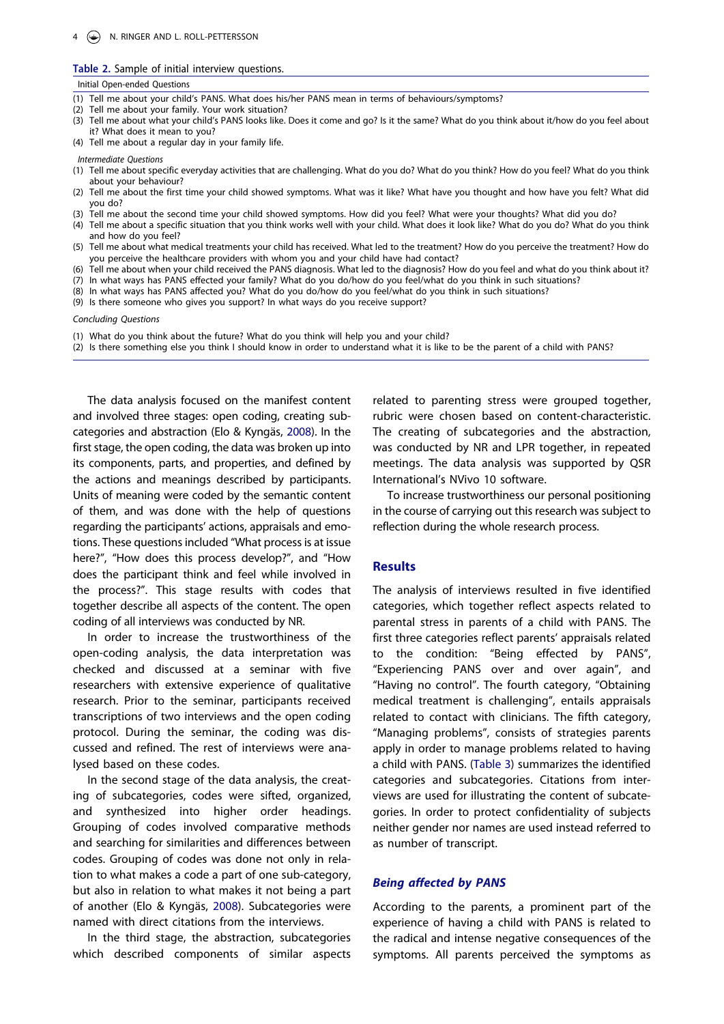#### <span id="page-4-0"></span>**Table 2.** Sample of initial interview questions.

Initial Open-ended Questions

- (1) Tell me about your child's PANS. What does his/her PANS mean in terms of behaviours/symptoms?
- (2) Tell me about your family. Your work situation?
- (3) Tell me about what your child's PANS looks like. Does it come and go? Is it the same? What do you think about it/how do you feel about it? What does it mean to you?
- (4) Tell me about a regular day in your family life.

*Intermediate Questions*

- (1) Tell me about specific everyday activities that are challenging. What do you do? What do you think? How do you feel? What do you think about your behaviour?
- (2) Tell me about the first time your child showed symptoms. What was it like? What have you thought and how have you felt? What did you do?
- (3) Tell me about the second time your child showed symptoms. How did you feel? What were your thoughts? What did you do?
- (4) Tell me about a specific situation that you think works well with your child. What does it look like? What do you do? What do you think and how do you feel?
- (5) Tell me about what medical treatments your child has received. What led to the treatment? How do you perceive the treatment? How do you perceive the healthcare providers with whom you and your child have had contact?
- (6) Tell me about when your child received the PANS diagnosis. What led to the diagnosis? How do you feel and what do you think about it?
- (7) In what ways has PANS effected your family? What do you do/how do you feel/what do you think in such situations?
- (8) In what ways has PANS affected you? What do you do/how do you feel/what do you think in such situations?
- (9) Is there someone who gives you support? In what ways do you receive support?

*Concluding Questions* 

- (1) What do you think about the future? What do you think will help you and your child?
- (2) Is there something else you think I should know in order to understand what it is like to be the parent of a child with PANS?

The data analysis focused on the manifest content and involved three stages: open coding, creating subcategories and abstraction (Elo & Kyngäs, [2008](#page-11-11)). In the first stage, the open coding, the data was broken up into its components, parts, and properties, and defined by the actions and meanings described by participants. Units of meaning were coded by the semantic content of them, and was done with the help of questions regarding the participants' actions, appraisals and emotions. These questions included "What process is at issue here?", "How does this process develop?", and "How does the participant think and feel while involved in the process?". This stage results with codes that together describe all aspects of the content. The open coding of all interviews was conducted by NR.

In order to increase the trustworthiness of the open-coding analysis, the data interpretation was checked and discussed at a seminar with five researchers with extensive experience of qualitative research. Prior to the seminar, participants received transcriptions of two interviews and the open coding protocol. During the seminar, the coding was discussed and refined. The rest of interviews were analysed based on these codes.

In the second stage of the data analysis, the creating of subcategories, codes were sifted, organized, and synthesized into higher order headings. Grouping of codes involved comparative methods and searching for similarities and differences between codes. Grouping of codes was done not only in relation to what makes a code a part of one sub-category, but also in relation to what makes it not being a part of another (Elo & Kyngäs, [2008\)](#page-11-11). Subcategories were named with direct citations from the interviews.

In the third stage, the abstraction, subcategories which described components of similar aspects related to parenting stress were grouped together, rubric were chosen based on content-characteristic. The creating of subcategories and the abstraction, was conducted by NR and LPR together, in repeated meetings. The data analysis was supported by QSR International's NVivo 10 software.

To increase trustworthiness our personal positioning in the course of carrying out this research was subject to reflection during the whole research process.

## **Results**

The analysis of interviews resulted in five identified categories, which together reflect aspects related to parental stress in parents of a child with PANS. The first three categories reflect parents' appraisals related to the condition: "Being effected by PANS", "Experiencing PANS over and over again", and "Having no control". The fourth category, "Obtaining medical treatment is challenging", entails appraisals related to contact with clinicians. The fifth category, "Managing problems", consists of strategies parents apply in order to manage problems related to having a child with PANS. [\(Table 3](#page-5-0)) summarizes the identified categories and subcategories. Citations from interviews are used for illustrating the content of subcategories. In order to protect confidentiality of subjects neither gender nor names are used instead referred to as number of transcript.

## *Being affected by PANS*

According to the parents, a prominent part of the experience of having a child with PANS is related to the radical and intense negative consequences of the symptoms. All parents perceived the symptoms as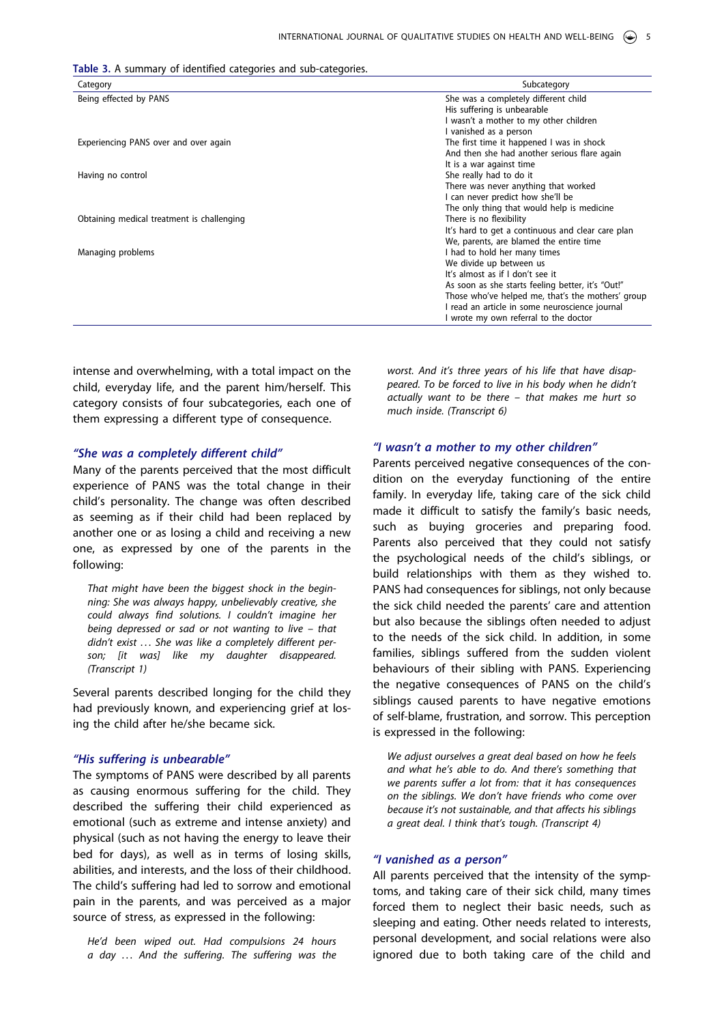<span id="page-5-0"></span>

| Table 3. A summary of identified categories and sub-categories. |  |  |
|-----------------------------------------------------------------|--|--|
|-----------------------------------------------------------------|--|--|

| Category                                   | Subcategory                                       |
|--------------------------------------------|---------------------------------------------------|
| Being effected by PANS                     | She was a completely different child              |
|                                            | His suffering is unbearable                       |
|                                            | I wasn't a mother to my other children            |
|                                            | I vanished as a person                            |
| Experiencing PANS over and over again      | The first time it happened I was in shock         |
|                                            | And then she had another serious flare again      |
|                                            | It is a war against time                          |
| Having no control                          | She really had to do it                           |
|                                            | There was never anything that worked              |
|                                            | I can never predict how she'll be                 |
|                                            | The only thing that would help is medicine        |
| Obtaining medical treatment is challenging | There is no flexibility                           |
|                                            | It's hard to get a continuous and clear care plan |
|                                            | We, parents, are blamed the entire time           |
| Managing problems                          | I had to hold her many times                      |
|                                            | We divide up between us                           |
|                                            | It's almost as if I don't see it                  |
|                                            | As soon as she starts feeling better, it's "Out!" |
|                                            | Those who've helped me, that's the mothers' group |
|                                            | I read an article in some neuroscience journal    |
|                                            | I wrote my own referral to the doctor             |

intense and overwhelming, with a total impact on the child, everyday life, and the parent him/herself. This category consists of four subcategories, each one of them expressing a different type of consequence.

#### *"She was a completely different child"*

Many of the parents perceived that the most difficult experience of PANS was the total change in their child's personality. The change was often described as seeming as if their child had been replaced by another one or as losing a child and receiving a new one, as expressed by one of the parents in the following:

*That might have been the biggest shock in the beginning: She was always happy, unbelievably creative, she could always find solutions. I couldn't imagine her being depressed or sad or not wanting to live – that didn't exist . . . She was like a completely different person; [it was] like my daughter disappeared. (Transcript 1)* 

Several parents described longing for the child they had previously known, and experiencing grief at losing the child after he/she became sick.

## *"His suffering is unbearable"*

The symptoms of PANS were described by all parents as causing enormous suffering for the child. They described the suffering their child experienced as emotional (such as extreme and intense anxiety) and physical (such as not having the energy to leave their bed for days), as well as in terms of losing skills, abilities, and interests, and the loss of their childhood. The child's suffering had led to sorrow and emotional pain in the parents, and was perceived as a major source of stress, as expressed in the following:

*He'd been wiped out. Had compulsions 24 hours a day . . . And the suffering. The suffering was the* 

*worst. And it's three years of his life that have disappeared. To be forced to live in his body when he didn't actually want to be there – that makes me hurt so much inside. (Transcript 6)* 

## *"I wasn't a mother to my other children"*

Parents perceived negative consequences of the condition on the everyday functioning of the entire family. In everyday life, taking care of the sick child made it difficult to satisfy the family's basic needs, such as buying groceries and preparing food. Parents also perceived that they could not satisfy the psychological needs of the child's siblings, or build relationships with them as they wished to. PANS had consequences for siblings, not only because the sick child needed the parents' care and attention but also because the siblings often needed to adjust to the needs of the sick child. In addition, in some families, siblings suffered from the sudden violent behaviours of their sibling with PANS. Experiencing the negative consequences of PANS on the child's siblings caused parents to have negative emotions of self-blame, frustration, and sorrow. This perception is expressed in the following:

*We adjust ourselves a great deal based on how he feels and what he's able to do. And there's something that we parents suffer a lot from: that it has consequences on the siblings. We don't have friends who come over because it's not sustainable, and that affects his siblings a great deal. I think that's tough. (Transcript 4)* 

## *"I vanished as a person"*

All parents perceived that the intensity of the symptoms, and taking care of their sick child, many times forced them to neglect their basic needs, such as sleeping and eating. Other needs related to interests, personal development, and social relations were also ignored due to both taking care of the child and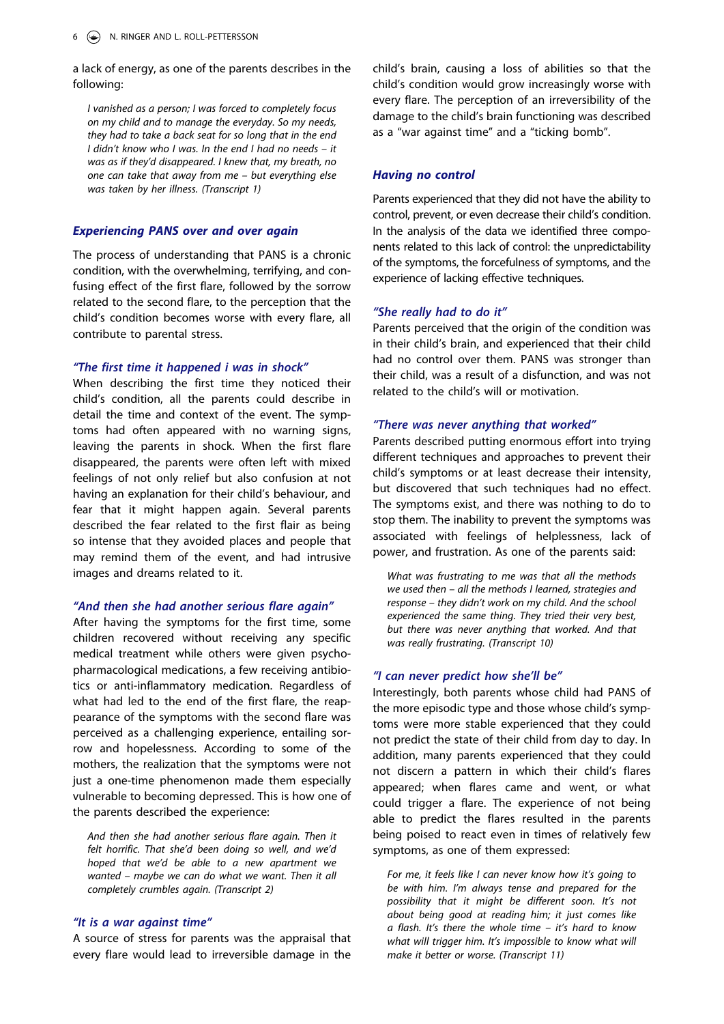a lack of energy, as one of the parents describes in the following:

*I vanished as a person; I was forced to completely focus on my child and to manage the everyday. So my needs, they had to take a back seat for so long that in the end I didn't know who I was. In the end I had no needs – it was as if they'd disappeared. I knew that, my breath, no one can take that away from me – but everything else was taken by her illness. (Transcript 1)* 

## *Experiencing PANS over and over again*

The process of understanding that PANS is a chronic condition, with the overwhelming, terrifying, and confusing effect of the first flare, followed by the sorrow related to the second flare, to the perception that the child's condition becomes worse with every flare, all contribute to parental stress.

## *"The first time it happened i was in shock"*

When describing the first time they noticed their child's condition, all the parents could describe in detail the time and context of the event. The symptoms had often appeared with no warning signs, leaving the parents in shock. When the first flare disappeared, the parents were often left with mixed feelings of not only relief but also confusion at not having an explanation for their child's behaviour, and fear that it might happen again. Several parents described the fear related to the first flair as being so intense that they avoided places and people that may remind them of the event, and had intrusive images and dreams related to it.

#### *"And then she had another serious flare again"*

After having the symptoms for the first time, some children recovered without receiving any specific medical treatment while others were given psychopharmacological medications, a few receiving antibiotics or anti-inflammatory medication. Regardless of what had led to the end of the first flare, the reappearance of the symptoms with the second flare was perceived as a challenging experience, entailing sorrow and hopelessness. According to some of the mothers, the realization that the symptoms were not just a one-time phenomenon made them especially vulnerable to becoming depressed. This is how one of the parents described the experience:

*And then she had another serious flare again. Then it felt horrific. That she'd been doing so well, and we'd hoped that we'd be able to a new apartment we wanted – maybe we can do what we want. Then it all completely crumbles again. (Transcript 2)* 

## *"It is a war against time"*

A source of stress for parents was the appraisal that every flare would lead to irreversible damage in the child's brain, causing a loss of abilities so that the child's condition would grow increasingly worse with every flare. The perception of an irreversibility of the damage to the child's brain functioning was described as a "war against time" and a "ticking bomb".

#### *Having no control*

Parents experienced that they did not have the ability to control, prevent, or even decrease their child's condition. In the analysis of the data we identified three components related to this lack of control: the unpredictability of the symptoms, the forcefulness of symptoms, and the experience of lacking effective techniques.

## *"She really had to do it"*

Parents perceived that the origin of the condition was in their child's brain, and experienced that their child had no control over them. PANS was stronger than their child, was a result of a disfunction, and was not related to the child's will or motivation.

#### *"There was never anything that worked"*

Parents described putting enormous effort into trying different techniques and approaches to prevent their child's symptoms or at least decrease their intensity, but discovered that such techniques had no effect. The symptoms exist, and there was nothing to do to stop them. The inability to prevent the symptoms was associated with feelings of helplessness, lack of power, and frustration. As one of the parents said:

*What was frustrating to me was that all the methods we used then – all the methods I learned, strategies and response – they didn't work on my child. And the school experienced the same thing. They tried their very best, but there was never anything that worked. And that was really frustrating. (Transcript 10)* 

#### *"I can never predict how she'll be"*

Interestingly, both parents whose child had PANS of the more episodic type and those whose child's symptoms were more stable experienced that they could not predict the state of their child from day to day. In addition, many parents experienced that they could not discern a pattern in which their child's flares appeared; when flares came and went, or what could trigger a flare. The experience of not being able to predict the flares resulted in the parents being poised to react even in times of relatively few symptoms, as one of them expressed:

*For me, it feels like I can never know how it's going to be with him. I'm always tense and prepared for the possibility that it might be different soon. It's not about being good at reading him; it just comes like a flash. It's there the whole time – it's hard to know what will trigger him. It's impossible to know what will make it better or worse. (Transcript 11)*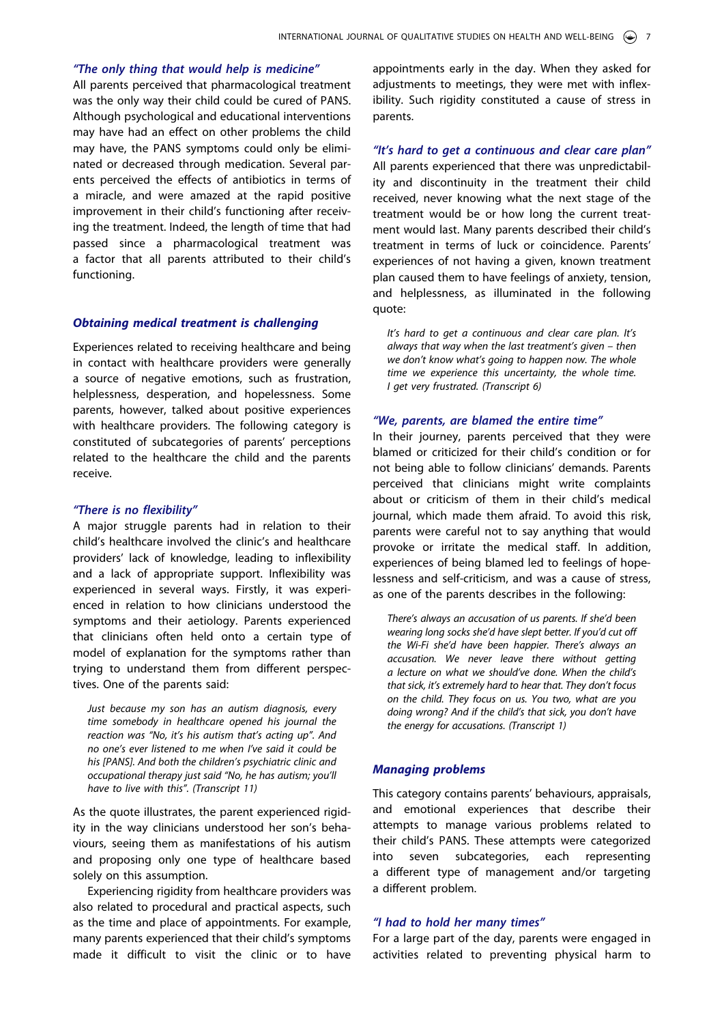## *"The only thing that would help is medicine"*

All parents perceived that pharmacological treatment was the only way their child could be cured of PANS. Although psychological and educational interventions may have had an effect on other problems the child may have, the PANS symptoms could only be eliminated or decreased through medication. Several parents perceived the effects of antibiotics in terms of a miracle, and were amazed at the rapid positive improvement in their child's functioning after receiving the treatment. Indeed, the length of time that had passed since a pharmacological treatment was a factor that all parents attributed to their child's functioning.

## *Obtaining medical treatment is challenging*

Experiences related to receiving healthcare and being in contact with healthcare providers were generally a source of negative emotions, such as frustration, helplessness, desperation, and hopelessness. Some parents, however, talked about positive experiences with healthcare providers. The following category is constituted of subcategories of parents' perceptions related to the healthcare the child and the parents receive.

#### *"There is no flexibility"*

A major struggle parents had in relation to their child's healthcare involved the clinic's and healthcare providers' lack of knowledge, leading to inflexibility and a lack of appropriate support. Inflexibility was experienced in several ways. Firstly, it was experienced in relation to how clinicians understood the symptoms and their aetiology. Parents experienced that clinicians often held onto a certain type of model of explanation for the symptoms rather than trying to understand them from different perspectives. One of the parents said:

*Just because my son has an autism diagnosis, every time somebody in healthcare opened his journal the reaction was "No, it's his autism that's acting up". And no one's ever listened to me when I've said it could be his [PANS]. And both the children's psychiatric clinic and occupational therapy just said "No, he has autism; you'll have to live with this". (Transcript 11)* 

As the quote illustrates, the parent experienced rigidity in the way clinicians understood her son's behaviours, seeing them as manifestations of his autism and proposing only one type of healthcare based solely on this assumption.

Experiencing rigidity from healthcare providers was also related to procedural and practical aspects, such as the time and place of appointments. For example, many parents experienced that their child's symptoms made it difficult to visit the clinic or to have appointments early in the day. When they asked for adjustments to meetings, they were met with inflexibility. Such rigidity constituted a cause of stress in parents.

*"It's hard to get a continuous and clear care plan"* All parents experienced that there was unpredictability and discontinuity in the treatment their child received, never knowing what the next stage of the treatment would be or how long the current treatment would last. Many parents described their child's treatment in terms of luck or coincidence. Parents' experiences of not having a given, known treatment plan caused them to have feelings of anxiety, tension, and helplessness, as illuminated in the following quote:

*It's hard to get a continuous and clear care plan. It's always that way when the last treatment's given – then we don't know what's going to happen now. The whole time we experience this uncertainty, the whole time. I get very frustrated. (Transcript 6)* 

## *"We, parents, are blamed the entire time"*

In their journey, parents perceived that they were blamed or criticized for their child's condition or for not being able to follow clinicians' demands. Parents perceived that clinicians might write complaints about or criticism of them in their child's medical journal, which made them afraid. To avoid this risk, parents were careful not to say anything that would provoke or irritate the medical staff. In addition, experiences of being blamed led to feelings of hopelessness and self-criticism, and was a cause of stress, as one of the parents describes in the following:

*There's always an accusation of us parents. If she'd been wearing long socks she'd have slept better. If you'd cut off the Wi-Fi she'd have been happier. There's always an accusation. We never leave there without getting a lecture on what we should've done. When the child's that sick, it's extremely hard to hear that. They don't focus on the child. They focus on us. You two, what are you doing wrong? And if the child's that sick, you don't have the energy for accusations. (Transcript 1)* 

## *Managing problems*

This category contains parents' behaviours, appraisals, and emotional experiences that describe their attempts to manage various problems related to their child's PANS. These attempts were categorized into seven subcategories, each representing a different type of management and/or targeting a different problem.

#### *"I had to hold her many times"*

For a large part of the day, parents were engaged in activities related to preventing physical harm to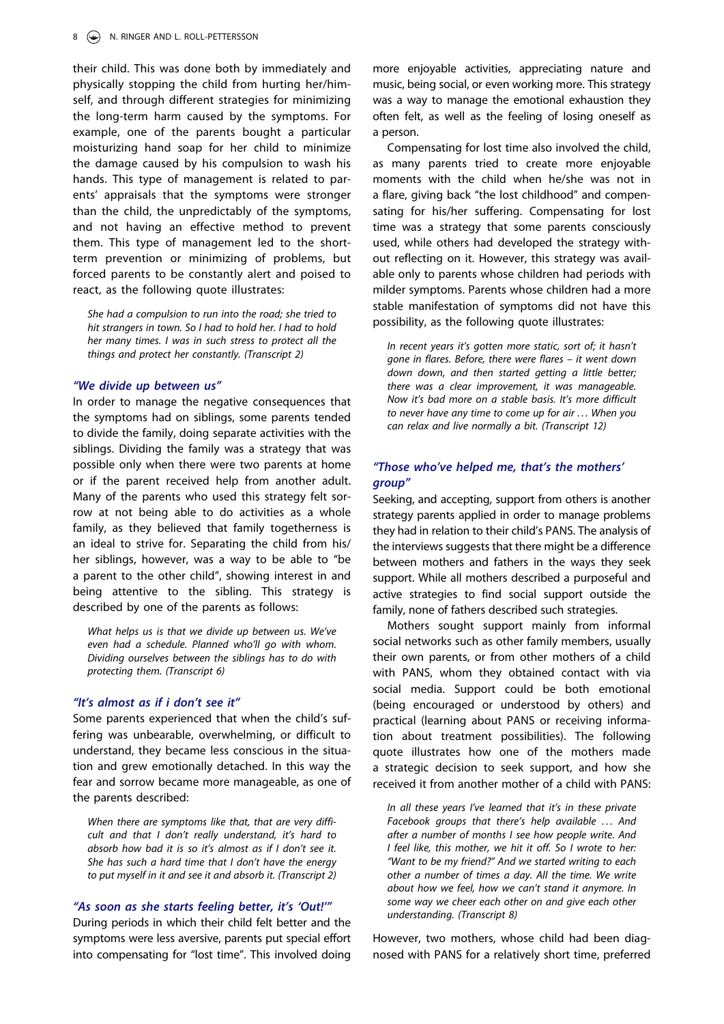their child. This was done both by immediately and physically stopping the child from hurting her/himself, and through different strategies for minimizing the long-term harm caused by the symptoms. For example, one of the parents bought a particular moisturizing hand soap for her child to minimize the damage caused by his compulsion to wash his hands. This type of management is related to parents' appraisals that the symptoms were stronger than the child, the unpredictably of the symptoms, and not having an effective method to prevent them. This type of management led to the shortterm prevention or minimizing of problems, but forced parents to be constantly alert and poised to react, as the following quote illustrates:

*She had a compulsion to run into the road; she tried to hit strangers in town. So I had to hold her. I had to hold her many times. I was in such stress to protect all the things and protect her constantly. (Transcript 2)* 

#### *"We divide up between us"*

In order to manage the negative consequences that the symptoms had on siblings, some parents tended to divide the family, doing separate activities with the siblings. Dividing the family was a strategy that was possible only when there were two parents at home or if the parent received help from another adult. Many of the parents who used this strategy felt sorrow at not being able to do activities as a whole family, as they believed that family togetherness is an ideal to strive for. Separating the child from his/ her siblings, however, was a way to be able to "be a parent to the other child", showing interest in and being attentive to the sibling. This strategy is described by one of the parents as follows:

*What helps us is that we divide up between us. We've even had a schedule. Planned who'll go with whom. Dividing ourselves between the siblings has to do with protecting them. (Transcript 6)* 

## *"It's almost as if i don't see it"*

Some parents experienced that when the child's suffering was unbearable, overwhelming, or difficult to understand, they became less conscious in the situation and grew emotionally detached. In this way the fear and sorrow became more manageable, as one of the parents described:

*When there are symptoms like that, that are very difficult and that I don't really understand, it's hard to absorb how bad it is so it's almost as if I don't see it. She has such a hard time that I don't have the energy to put myself in it and see it and absorb it. (Transcript 2)* 

#### *"As soon as she starts feeling better, it's 'Out!'"*

During periods in which their child felt better and the symptoms were less aversive, parents put special effort into compensating for "lost time". This involved doing

more enjoyable activities, appreciating nature and music, being social, or even working more. This strategy was a way to manage the emotional exhaustion they often felt, as well as the feeling of losing oneself as a person.

Compensating for lost time also involved the child, as many parents tried to create more enjoyable moments with the child when he/she was not in a flare, giving back "the lost childhood" and compensating for his/her suffering. Compensating for lost time was a strategy that some parents consciously used, while others had developed the strategy without reflecting on it. However, this strategy was available only to parents whose children had periods with milder symptoms. Parents whose children had a more stable manifestation of symptoms did not have this possibility, as the following quote illustrates:

*In recent years it's gotten more static, sort of; it hasn't gone in flares. Before, there were flares – it went down down down, and then started getting a little better; there was a clear improvement, it was manageable. Now it's bad more on a stable basis. It's more difficult to never have any time to come up for air . . . When you can relax and live normally a bit. (Transcript 12)* 

## *"Those who've helped me, that's the mothers' group"*

Seeking, and accepting, support from others is another strategy parents applied in order to manage problems they had in relation to their child's PANS. The analysis of the interviews suggests that there might be a difference between mothers and fathers in the ways they seek support. While all mothers described a purposeful and active strategies to find social support outside the family, none of fathers described such strategies.

Mothers sought support mainly from informal social networks such as other family members, usually their own parents, or from other mothers of a child with PANS, whom they obtained contact with via social media. Support could be both emotional (being encouraged or understood by others) and practical (learning about PANS or receiving information about treatment possibilities). The following quote illustrates how one of the mothers made a strategic decision to seek support, and how she received it from another mother of a child with PANS:

*In all these years I've learned that it's in these private Facebook groups that there's help available . . . And after a number of months I see how people write. And I feel like, this mother, we hit it off. So I wrote to her: "Want to be my friend?" And we started writing to each other a number of times a day. All the time. We write about how we feel, how we can't stand it anymore. In some way we cheer each other on and give each other understanding. (Transcript 8)* 

However, two mothers, whose child had been diagnosed with PANS for a relatively short time, preferred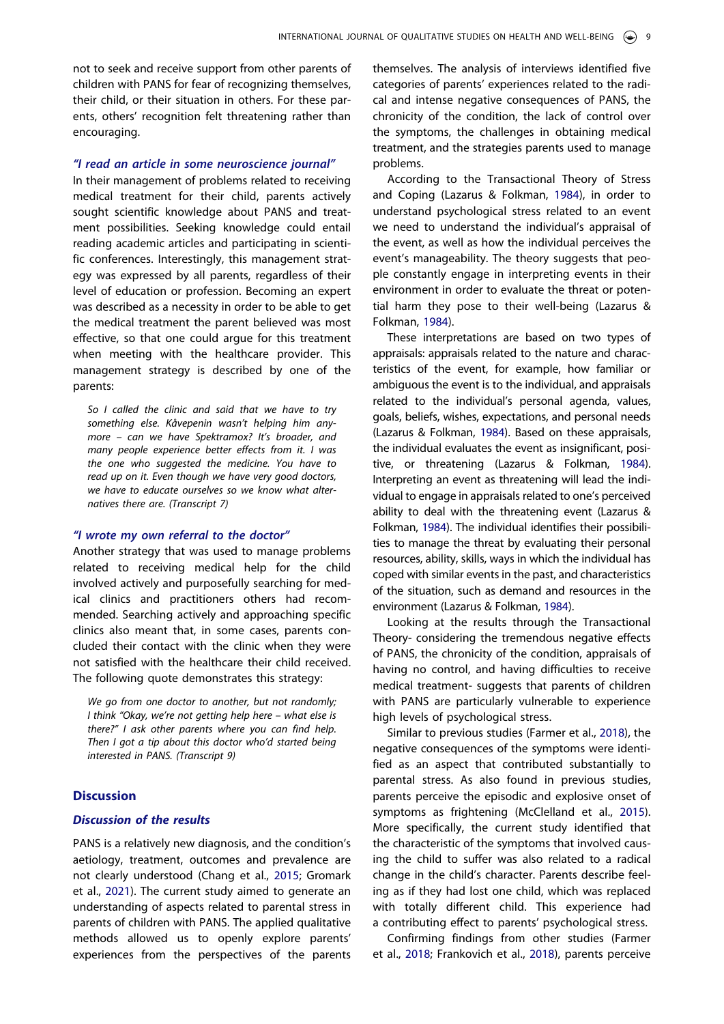not to seek and receive support from other parents of children with PANS for fear of recognizing themselves, their child, or their situation in others. For these parents, others' recognition felt threatening rather than encouraging.

#### *"I read an article in some neuroscience journal"*

In their management of problems related to receiving medical treatment for their child, parents actively sought scientific knowledge about PANS and treatment possibilities. Seeking knowledge could entail reading academic articles and participating in scientific conferences. Interestingly, this management strategy was expressed by all parents, regardless of their level of education or profession. Becoming an expert was described as a necessity in order to be able to get the medical treatment the parent believed was most effective, so that one could argue for this treatment when meeting with the healthcare provider. This management strategy is described by one of the parents:

*So I called the clinic and said that we have to try something else. Kåvepenin wasn't helping him anymore – can we have Spektramox? It's broader, and many people experience better effects from it. I was the one who suggested the medicine. You have to read up on it. Even though we have very good doctors, we have to educate ourselves so we know what alternatives there are. (Transcript 7)* 

#### *"I wrote my own referral to the doctor"*

Another strategy that was used to manage problems related to receiving medical help for the child involved actively and purposefully searching for medical clinics and practitioners others had recommended. Searching actively and approaching specific clinics also meant that, in some cases, parents concluded their contact with the clinic when they were not satisfied with the healthcare their child received. The following quote demonstrates this strategy:

*We go from one doctor to another, but not randomly; I think "Okay, we're not getting help here – what else is there?" I ask other parents where you can find help. Then I got a tip about this doctor who'd started being interested in PANS. (Transcript 9)* 

## **Discussion**

## *Discussion of the results*

PANS is a relatively new diagnosis, and the condition's aetiology, treatment, outcomes and prevalence are not clearly understood (Chang et al., [2015;](#page-11-0) Gromark et al., [2021](#page-11-1)). The current study aimed to generate an understanding of aspects related to parental stress in parents of children with PANS. The applied qualitative methods allowed us to openly explore parents' experiences from the perspectives of the parents

themselves. The analysis of interviews identified five categories of parents' experiences related to the radical and intense negative consequences of PANS, the chronicity of the condition, the lack of control over the symptoms, the challenges in obtaining medical treatment, and the strategies parents used to manage problems.

According to the Transactional Theory of Stress and Coping (Lazarus & Folkman, [1984](#page-12-5)), in order to understand psychological stress related to an event we need to understand the individual's appraisal of the event, as well as how the individual perceives the event's manageability. The theory suggests that people constantly engage in interpreting events in their environment in order to evaluate the threat or potential harm they pose to their well-being (Lazarus & Folkman, [1984\)](#page-12-5).

These interpretations are based on two types of appraisals: appraisals related to the nature and characteristics of the event, for example, how familiar or ambiguous the event is to the individual, and appraisals related to the individual's personal agenda, values, goals, beliefs, wishes, expectations, and personal needs (Lazarus & Folkman, [1984\)](#page-12-5). Based on these appraisals, the individual evaluates the event as insignificant, positive, or threatening (Lazarus & Folkman, [1984](#page-12-5)). Interpreting an event as threatening will lead the individual to engage in appraisals related to one's perceived ability to deal with the threatening event (Lazarus & Folkman, [1984](#page-12-5)). The individual identifies their possibilities to manage the threat by evaluating their personal resources, ability, skills, ways in which the individual has coped with similar events in the past, and characteristics of the situation, such as demand and resources in the environment (Lazarus & Folkman, [1984](#page-12-5)).

<span id="page-9-0"></span>Looking at the results through the Transactional Theory- considering the tremendous negative effects of PANS, the chronicity of the condition, appraisals of having no control, and having difficulties to receive medical treatment- suggests that parents of children with PANS are particularly vulnerable to experience high levels of psychological stress.

Similar to previous studies (Farmer et al., [2018\)](#page-11-7), the negative consequences of the symptoms were identified as an aspect that contributed substantially to parental stress. As also found in previous studies, parents perceive the episodic and explosive onset of symptoms as frightening (McClelland et al., [2015](#page-12-3)). More specifically, the current study identified that the characteristic of the symptoms that involved causing the child to suffer was also related to a radical change in the child's character. Parents describe feeling as if they had lost one child, which was replaced with totally different child. This experience had a contributing effect to parents' psychological stress.

Confirming findings from other studies (Farmer et al., [2018;](#page-11-7) Frankovich et al., [2018](#page-11-8)), parents perceive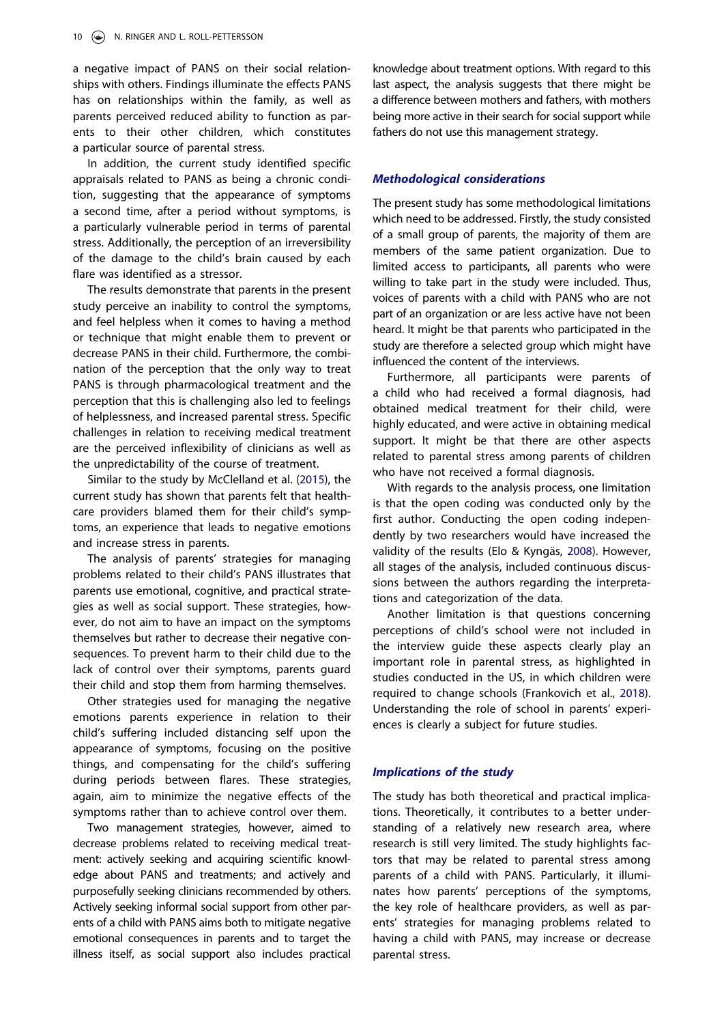a negative impact of PANS on their social relationships with others. Findings illuminate the effects PANS has on relationships within the family, as well as parents perceived reduced ability to function as parents to their other children, which constitutes a particular source of parental stress.

In addition, the current study identified specific appraisals related to PANS as being a chronic condition, suggesting that the appearance of symptoms a second time, after a period without symptoms, is a particularly vulnerable period in terms of parental stress. Additionally, the perception of an irreversibility of the damage to the child's brain caused by each flare was identified as a stressor.

The results demonstrate that parents in the present study perceive an inability to control the symptoms, and feel helpless when it comes to having a method or technique that might enable them to prevent or decrease PANS in their child. Furthermore, the combination of the perception that the only way to treat PANS is through pharmacological treatment and the perception that this is challenging also led to feelings of helplessness, and increased parental stress. Specific challenges in relation to receiving medical treatment are the perceived inflexibility of clinicians as well as the unpredictability of the course of treatment.

Similar to the study by McClelland et al. [\(2015\)](#page-12-3), the current study has shown that parents felt that healthcare providers blamed them for their child's symptoms, an experience that leads to negative emotions and increase stress in parents.

The analysis of parents' strategies for managing problems related to their child's PANS illustrates that parents use emotional, cognitive, and practical strategies as well as social support. These strategies, however, do not aim to have an impact on the symptoms themselves but rather to decrease their negative consequences. To prevent harm to their child due to the lack of control over their symptoms, parents guard their child and stop them from harming themselves.

Other strategies used for managing the negative emotions parents experience in relation to their child's suffering included distancing self upon the appearance of symptoms, focusing on the positive things, and compensating for the child's suffering during periods between flares. These strategies, again, aim to minimize the negative effects of the symptoms rather than to achieve control over them.

Two management strategies, however, aimed to decrease problems related to receiving medical treatment: actively seeking and acquiring scientific knowledge about PANS and treatments; and actively and purposefully seeking clinicians recommended by others. Actively seeking informal social support from other parents of a child with PANS aims both to mitigate negative emotional consequences in parents and to target the illness itself, as social support also includes practical

knowledge about treatment options. With regard to this last aspect, the analysis suggests that there might be a difference between mothers and fathers, with mothers being more active in their search for social support while fathers do not use this management strategy.

## *Methodological considerations*

The present study has some methodological limitations which need to be addressed. Firstly, the study consisted of a small group of parents, the majority of them are members of the same patient organization. Due to limited access to participants, all parents who were willing to take part in the study were included. Thus, voices of parents with a child with PANS who are not part of an organization or are less active have not been heard. It might be that parents who participated in the study are therefore a selected group which might have influenced the content of the interviews.

Furthermore, all participants were parents of a child who had received a formal diagnosis, had obtained medical treatment for their child, were highly educated, and were active in obtaining medical support. It might be that there are other aspects related to parental stress among parents of children who have not received a formal diagnosis.

With regards to the analysis process, one limitation is that the open coding was conducted only by the first author. Conducting the open coding independently by two researchers would have increased the validity of the results (Elo & Kyngäs, [2008](#page-11-11)). However, all stages of the analysis, included continuous discussions between the authors regarding the interpretations and categorization of the data.

Another limitation is that questions concerning perceptions of child's school were not included in the interview guide these aspects clearly play an important role in parental stress, as highlighted in studies conducted in the US, in which children were required to change schools (Frankovich et al., [2018](#page-11-8)). Understanding the role of school in parents' experiences is clearly a subject for future studies.

### *Implications of the study*

The study has both theoretical and practical implications. Theoretically, it contributes to a better understanding of a relatively new research area, where research is still very limited. The study highlights factors that may be related to parental stress among parents of a child with PANS. Particularly, it illuminates how parents' perceptions of the symptoms, the key role of healthcare providers, as well as parents' strategies for managing problems related to having a child with PANS, may increase or decrease parental stress.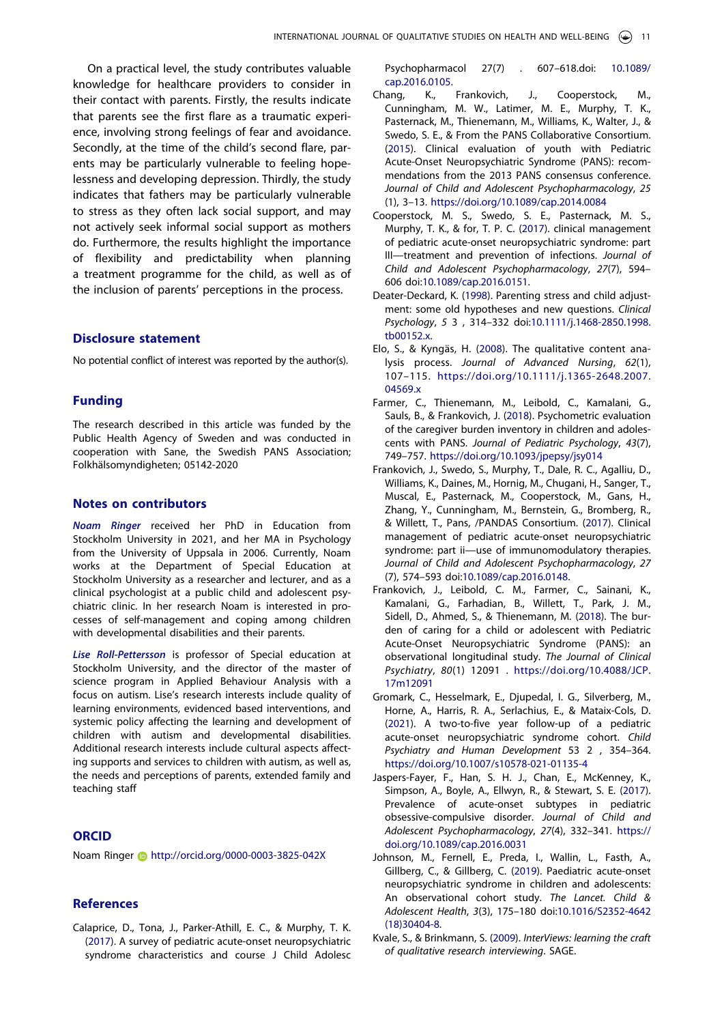On a practical level, the study contributes valuable knowledge for healthcare providers to consider in their contact with parents. Firstly, the results indicate that parents see the first flare as a traumatic experience, involving strong feelings of fear and avoidance. Secondly, at the time of the child's second flare, parents may be particularly vulnerable to feeling hopelessness and developing depression. Thirdly, the study indicates that fathers may be particularly vulnerable to stress as they often lack social support, and may not actively seek informal social support as mothers do. Furthermore, the results highlight the importance of flexibility and predictability when planning a treatment programme for the child, as well as of the inclusion of parents' perceptions in the process.

## **Disclosure statement**

No potential conflict of interest was reported by the author(s).

## **Funding**

The research described in this article was funded by the Public Health Agency of Sweden and was conducted in cooperation with Sane, the Swedish PANS Association; Folkhälsomyndigheten; 05142-2020

## **Notes on contributors**

*Noam Ringer* received her PhD in Education from Stockholm University in 2021, and her MA in Psychology from the University of Uppsala in 2006. Currently, Noam works at the Department of Special Education at Stockholm University as a researcher and lecturer, and as a clinical psychologist at a public child and adolescent psychiatric clinic. In her research Noam is interested in processes of self-management and coping among children with developmental disabilities and their parents.

*Lise Roll-Pettersson* is professor of Special education at Stockholm University, and the director of the master of science program in Applied Behaviour Analysis with a focus on autism. Lise's research interests include quality of learning environments, evidenced based interventions, and systemic policy affecting the learning and development of children with autism and developmental disabilities. Additional research interests include cultural aspects affecting supports and services to children with autism, as well as, the needs and perceptions of parents, extended family and teaching staff

#### **ORCID**

Noam Ringer **b** http://orcid.org/0000-0003-3825-042X

#### **References**

<span id="page-11-3"></span>Calaprice, D., Tona, J., Parker-Athill, E. C., & Murphy, T. K. ([2017](#page-1-0)). A survey of pediatric acute-onset neuropsychiatric syndrome characteristics and course J Child Adolesc Psychopharmacol 27(7) . 607–618.doi: [10.1089/](https://doi.org/10.1089/cap.2016.0105) [cap.2016.0105.](https://doi.org/10.1089/cap.2016.0105)

- <span id="page-11-0"></span>Chang, K., Frankovich, J., Cooperstock, M., Cunningham, M. W., Latimer, M. E., Murphy, T. K., Pasternack, M., Thienemann, M., Williams, K., Walter, J., & Swedo, S. E., & From the PANS Collaborative Consortium. [\(2015\)](#page-1-1). Clinical evaluation of youth with Pediatric Acute-Onset Neuropsychiatric Syndrome (PANS): recommendations from the 2013 PANS consensus conference. *Journal of Child and Adolescent Psychopharmacology*, *25*  (1), 3–13. <https://doi.org/10.1089/cap.2014.0084>
- <span id="page-11-6"></span>Cooperstock, M. S., Swedo, S. E., Pasternack, M. S., Murphy, T. K., & for, T. P. C. [\(2017\)](#page-1-2). clinical management of pediatric acute-onset neuropsychiatric syndrome: part III—treatment and prevention of infections. *Journal of Child and Adolescent Psychopharmacology*, *27*(7), 594– 606 doi:[10.1089/cap.2016.0151](https://doi.org/10.1089/cap.2016.0151).
- <span id="page-11-9"></span>Deater-Deckard, K. [\(1998\)](#page-2-0). Parenting stress and child adjustment: some old hypotheses and new questions. *Clinical Psychology*, *5* 3 , 314–332 doi:[10.1111/j.1468-2850.1998.](https://doi.org/10.1111/j.1468-2850.1998.tb00152.x) [tb00152.x.](https://doi.org/10.1111/j.1468-2850.1998.tb00152.x)
- <span id="page-11-11"></span>Elo, S., & Kyngäs, H. [\(2008](#page-3-1)). The qualitative content analysis process. *Journal of Advanced Nursing*, *62*(1), 107–115. [https://doi.org/10.1111/j.1365-2648.2007.](https://doi.org/10.1111/j.1365-2648.2007.04569.x)  [04569.x](https://doi.org/10.1111/j.1365-2648.2007.04569.x)
- <span id="page-11-7"></span>Farmer, C., Thienemann, M., Leibold, C., Kamalani, G., Sauls, B., & Frankovich, J. ([2018](#page-2-1)). Psychometric evaluation of the caregiver burden inventory in children and adolescents with PANS. *Journal of Pediatric Psychology*, *43*(7), 749–757. <https://doi.org/10.1093/jpepsy/jsy014>
- <span id="page-11-5"></span>Frankovich, J., Swedo, S., Murphy, T., Dale, R. C., Agalliu, D., Williams, K., Daines, M., Hornig, M., Chugani, H., Sanger, T., Muscal, E., Pasternack, M., Cooperstock, M., Gans, H., Zhang, Y., Cunningham, M., Bernstein, G., Bromberg, R., & Willett, T., Pans, /PANDAS Consortium. ([2017](#page-1-3)). Clinical management of pediatric acute-onset neuropsychiatric syndrome: part ii—use of immunomodulatory therapies. *Journal of Child and Adolescent Psychopharmacology*, *27*  (7), 574–593 doi:[10.1089/cap.2016.0148](https://doi.org/10.1089/cap.2016.0148).
- <span id="page-11-8"></span>Frankovich, J., Leibold, C. M., Farmer, C., Sainani, K., Kamalani, G., Farhadian, B., Willett, T., Park, J. M., Sidell, D., Ahmed, S., & Thienemann, M. ([2018](#page-2-2)). The burden of caring for a child or adolescent with Pediatric Acute-Onset Neuropsychiatric Syndrome (PANS): an observational longitudinal study. *The Journal of Clinical Psychiatry*, *80*(1) 12091 . [https://doi.org/10.4088/JCP.](https://doi.org/10.4088/JCP.17m12091)  [17m12091](https://doi.org/10.4088/JCP.17m12091)
- <span id="page-11-1"></span>Gromark, C., Hesselmark, E., Djupedal, I. G., Silverberg, M., Horne, A., Harris, R. A., Serlachius, E., & Mataix-Cols, D. [\(2021\)](#page-1-4). A two-to-five year follow-up of a pediatric acute-onset neuropsychiatric syndrome cohort. *Child Psychiatry and Human Development* 53 2 , 354–364. <https://doi.org/10.1007/s10578-021-01135-4>
- <span id="page-11-2"></span>Jaspers-Fayer, F., Han, S. H. J., Chan, E., McKenney, K., Simpson, A., Boyle, A., Ellwyn, R., & Stewart, S. E. [\(2017\)](#page-1-5). Prevalence of acute-onset subtypes in pediatric obsessive-compulsive disorder. *Journal of Child and Adolescent Psychopharmacology*, *27*(4), 332–341. [https://](https://doi.org/10.1089/cap.2016.0031) [doi.org/10.1089/cap.2016.0031](https://doi.org/10.1089/cap.2016.0031)
- <span id="page-11-4"></span>Johnson, M., Fernell, E., Preda, I., Wallin, L., Fasth, A., Gillberg, C., & Gillberg, C. ([2019](#page-1-0)). Paediatric acute-onset neuropsychiatric syndrome in children and adolescents: An observational cohort study. *The Lancet. Child & Adolescent Health*, *3*(3), 175–180 doi:[10.1016/S2352-4642](https://doi.org/10.1016/S2352-4642(18)30404-8) [\(18\)30404-8](https://doi.org/10.1016/S2352-4642(18)30404-8).
- <span id="page-11-10"></span>Kvale, S., & Brinkmann, S. [\(2009\)](#page-3-2). *InterViews: learning the craft of qualitative research interviewing*. SAGE.